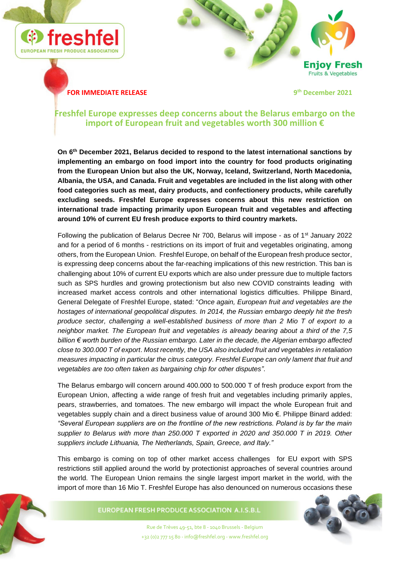



## **FOR IMMEDIATE RELEASE**

**th December 2021**

# **Freshfel Europe expresses deep concerns about the Belarus embargo on the import of European fruit and vegetables worth 300 million €**

**On 6th December 2021, Belarus decided to respond to the latest international sanctions by implementing an embargo on food import into the country for food products originating from the European Union but also the UK, Norway, Iceland, Switzerland, North Macedonia, Albania, the USA, and Canada. Fruit and vegetables are included in the list along with other food categories such as meat, dairy products, and confectionery products, while carefully excluding seeds. Freshfel Europe expresses concerns about this new restriction on international trade impacting primarily upon European fruit and vegetables and affecting around 10% of current EU fresh produce exports to third country markets.**

Following the publication of Belarus Decree Nr 700, Belarus will impose - as of 1<sup>st</sup> January 2022 and for a period of 6 months - restrictions on its import of fruit and vegetables originating, among others, from the European Union. Freshfel Europe, on behalf of the European fresh produce sector, is expressing deep concerns about the far-reaching implications of this new restriction. This ban is challenging about 10% of current EU exports which are also under pressure due to multiple factors such as SPS hurdles and growing protectionism but also new COVID constraints leading with increased market access controls and other international logistics difficulties. Philippe Binard, General Delegate of Freshfel Europe, stated: "*Once again, European fruit and vegetables are the hostages of international geopolitical disputes. In 2014, the Russian embargo deeply hit the fresh produce sector, challenging a well-established business of more than 2 Mio T of export to a neighbor market. The European fruit and vegetables is already bearing about a third of the 7,5 billion € worth burden of the Russian embargo. Later in the decade, the Algerian embargo affected close to 300.000 T of export*. *Most recently, the USA also included fruit and vegetables in retaliation measures impacting in particular the citrus category. Freshfel Europe can only lament that fruit and vegetables are too often taken as bargaining chip for other disputes"*.

The Belarus embargo will concern around 400.000 to 500.000 T of fresh produce export from the European Union, affecting a wide range of fresh fruit and vegetables including primarily apples, pears, strawberries, and tomatoes. The new embargo will impact the whole European fruit and vegetables supply chain and a direct business value of around 300 Mio €. Philippe Binard added: *"Several European suppliers are on the frontline of the new restrictions. Poland is by far the main supplier to Belarus with more than 250.000 T exported in 2020 and 350.000 T in 2019. Other suppliers include Lithuania, The Netherlands, Spain, Greece, and Italy."*

This embargo is coming on top of other market access challenges for EU export with SPS restrictions still applied around the world by protectionist approaches of several countries around the world. The European Union remains the single largest import market in the world, with the import of more than 16 Mio T. Freshfel Europe has also denounced on numerous occasions these



EUROPEAN FRESH PRODUCE ASSOCIATION A.I.S.B.L



Rue de Trèves 49-51, bte 8 - 1040 Brussels - Belgium +32 (0)2 777 15 80 - info@freshfel.org - www.freshfel.org